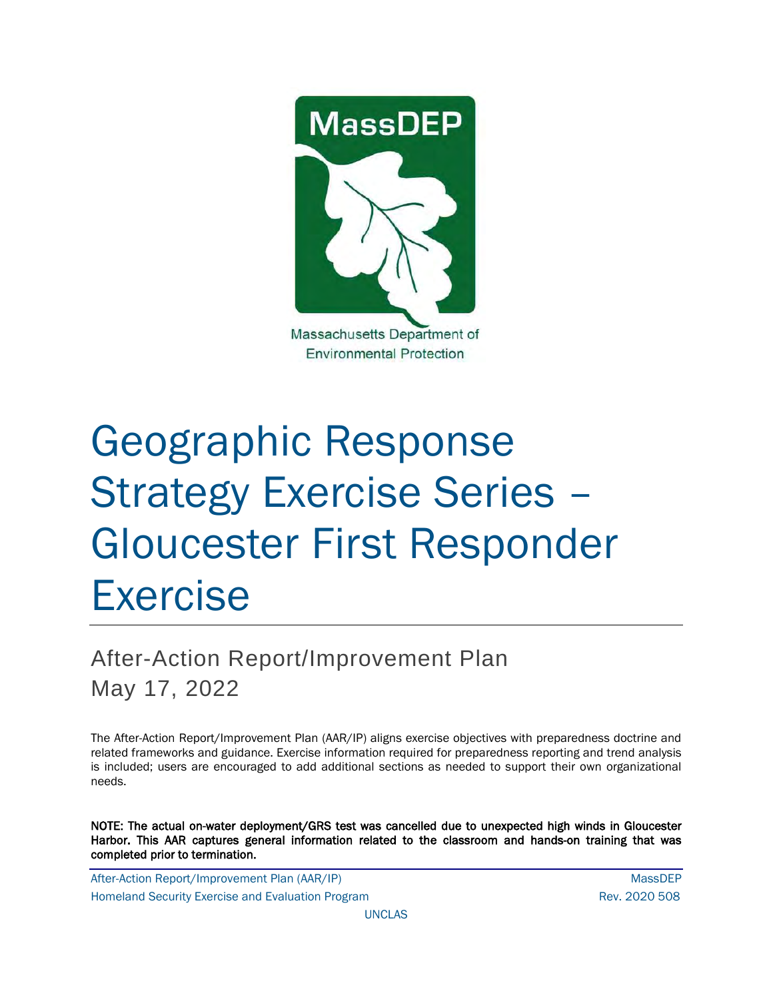

# Geographic Response Strategy Exercise Series – Gloucester First Responder Exercise

## After-Action Report/Improvement Plan May 17, 2022

The After-Action Report/Improvement Plan (AAR/IP) aligns exercise objectives with preparedness doctrine and related frameworks and guidance. Exercise information required for preparedness reporting and trend analysis is included; users are encouraged to add additional sections as needed to support their own organizational needs.

NOTE: The actual on-water deployment/GRS test was cancelled due to unexpected high winds in Gloucester Harbor. This AAR captures general information related to the classroom and hands-on training that was completed prior to termination.

After-Action Report/Improvement Plan (AAR/IP) NassDEP Homeland Security Exercise and Evaluation Program News 2020 508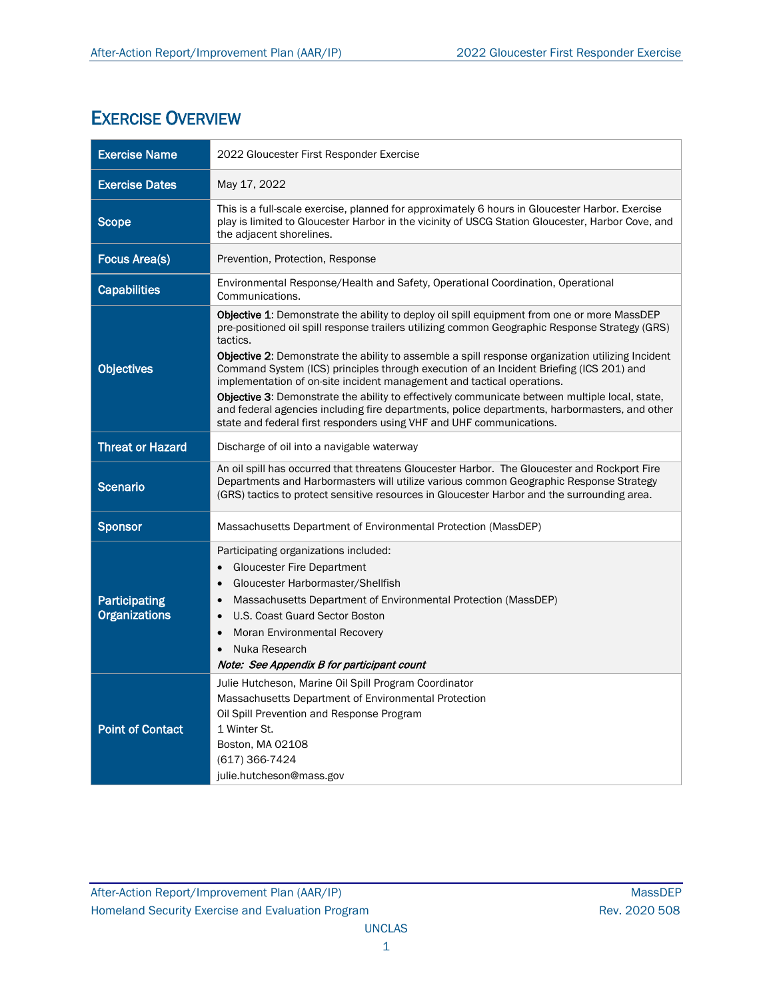#### EXERCISE OVERVIEW

| <b>Exercise Name</b>                  | 2022 Gloucester First Responder Exercise                                                                                                                                                                                                                                                                                                                                                                                                                                                                                                                                                                                                                                                                                                                                     |
|---------------------------------------|------------------------------------------------------------------------------------------------------------------------------------------------------------------------------------------------------------------------------------------------------------------------------------------------------------------------------------------------------------------------------------------------------------------------------------------------------------------------------------------------------------------------------------------------------------------------------------------------------------------------------------------------------------------------------------------------------------------------------------------------------------------------------|
| <b>Exercise Dates</b>                 | May 17, 2022                                                                                                                                                                                                                                                                                                                                                                                                                                                                                                                                                                                                                                                                                                                                                                 |
| <b>Scope</b>                          | This is a full-scale exercise, planned for approximately 6 hours in Gloucester Harbor. Exercise<br>play is limited to Gloucester Harbor in the vicinity of USCG Station Gloucester, Harbor Cove, and<br>the adjacent shorelines.                                                                                                                                                                                                                                                                                                                                                                                                                                                                                                                                             |
| <b>Focus Area(s)</b>                  | Prevention, Protection, Response                                                                                                                                                                                                                                                                                                                                                                                                                                                                                                                                                                                                                                                                                                                                             |
| <b>Capabilities</b>                   | Environmental Response/Health and Safety, Operational Coordination, Operational<br>Communications.                                                                                                                                                                                                                                                                                                                                                                                                                                                                                                                                                                                                                                                                           |
| <b>Objectives</b>                     | Objective 1: Demonstrate the ability to deploy oil spill equipment from one or more MassDEP<br>pre-positioned oil spill response trailers utilizing common Geographic Response Strategy (GRS)<br>tactics.<br><b>Objective 2:</b> Demonstrate the ability to assemble a spill response organization utilizing Incident<br>Command System (ICS) principles through execution of an Incident Briefing (ICS 201) and<br>implementation of on-site incident management and tactical operations.<br><b>Objective 3:</b> Demonstrate the ability to effectively communicate between multiple local, state,<br>and federal agencies including fire departments, police departments, harbormasters, and other<br>state and federal first responders using VHF and UHF communications. |
| <b>Threat or Hazard</b>               | Discharge of oil into a navigable waterway                                                                                                                                                                                                                                                                                                                                                                                                                                                                                                                                                                                                                                                                                                                                   |
| <b>Scenario</b>                       | An oil spill has occurred that threatens Gloucester Harbor. The Gloucester and Rockport Fire<br>Departments and Harbormasters will utilize various common Geographic Response Strategy<br>(GRS) tactics to protect sensitive resources in Gloucester Harbor and the surrounding area.                                                                                                                                                                                                                                                                                                                                                                                                                                                                                        |
| <b>Sponsor</b>                        | Massachusetts Department of Environmental Protection (MassDEP)                                                                                                                                                                                                                                                                                                                                                                                                                                                                                                                                                                                                                                                                                                               |
| Participating<br><b>Organizations</b> | Participating organizations included:<br><b>Gloucester Fire Department</b><br>Gloucester Harbormaster/Shellfish<br>Massachusetts Department of Environmental Protection (MassDEP)<br>U.S. Coast Guard Sector Boston<br>Moran Environmental Recovery<br>Nuka Research<br>$\bullet$<br>Note: See Appendix B for participant count                                                                                                                                                                                                                                                                                                                                                                                                                                              |
| <b>Point of Contact</b>               | Julie Hutcheson, Marine Oil Spill Program Coordinator<br>Massachusetts Department of Environmental Protection<br>Oil Spill Prevention and Response Program<br>1 Winter St.<br>Boston, MA 02108<br>(617) 366-7424<br>julie.hutcheson@mass.gov                                                                                                                                                                                                                                                                                                                                                                                                                                                                                                                                 |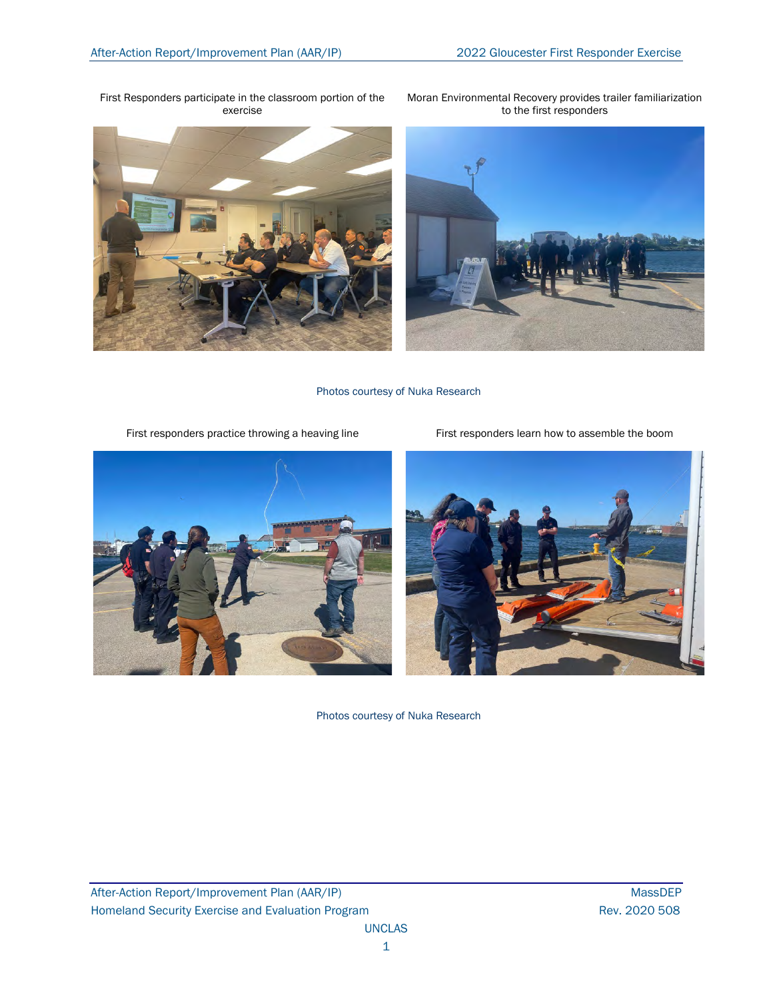First Responders participate in the classroom portion of the exercise







Photos courtesy of Nuka Research

First responders practice throwing a heaving line First responders learn how to assemble the boom





Photos courtesy of Nuka Research

After-Action Report/Improvement Plan (AAR/IP) MassDEP Homeland Security Exercise and Evaluation Program **Rev. 2020 508** Rev. 2020 508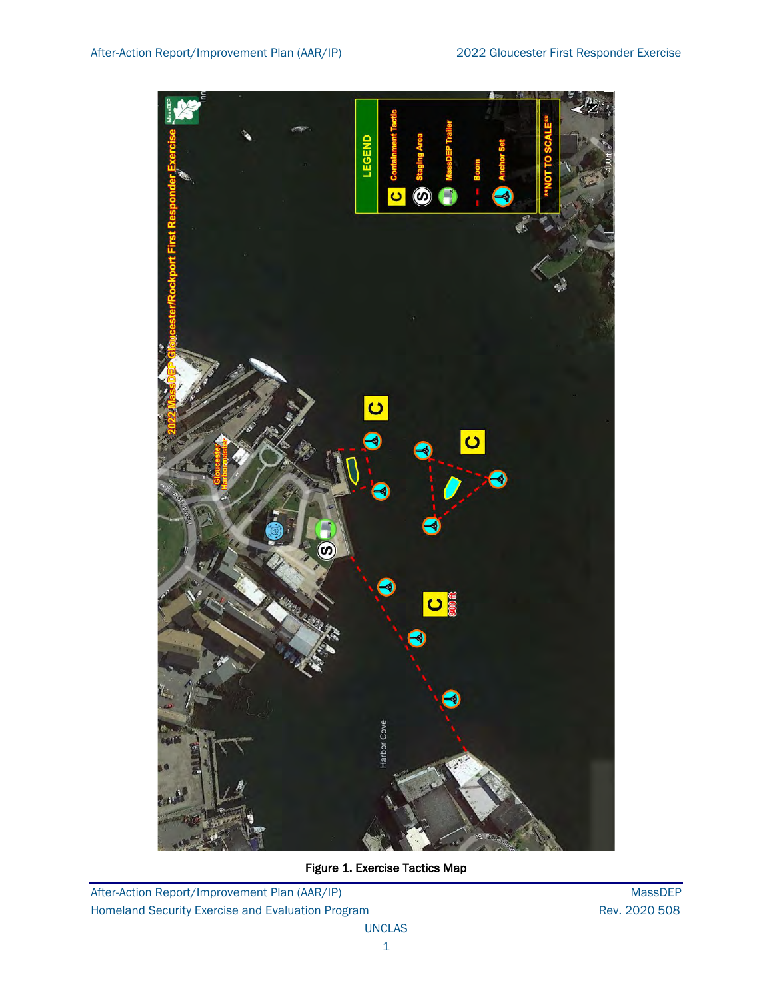![](_page_3_Picture_2.jpeg)

Figure 1. Exercise Tactics Map

After-Action Report/Improvement Plan (AAR/IP) MassDEP Homeland Security Exercise and Evaluation Program **Rev. 2020 508** Rev. 2020 508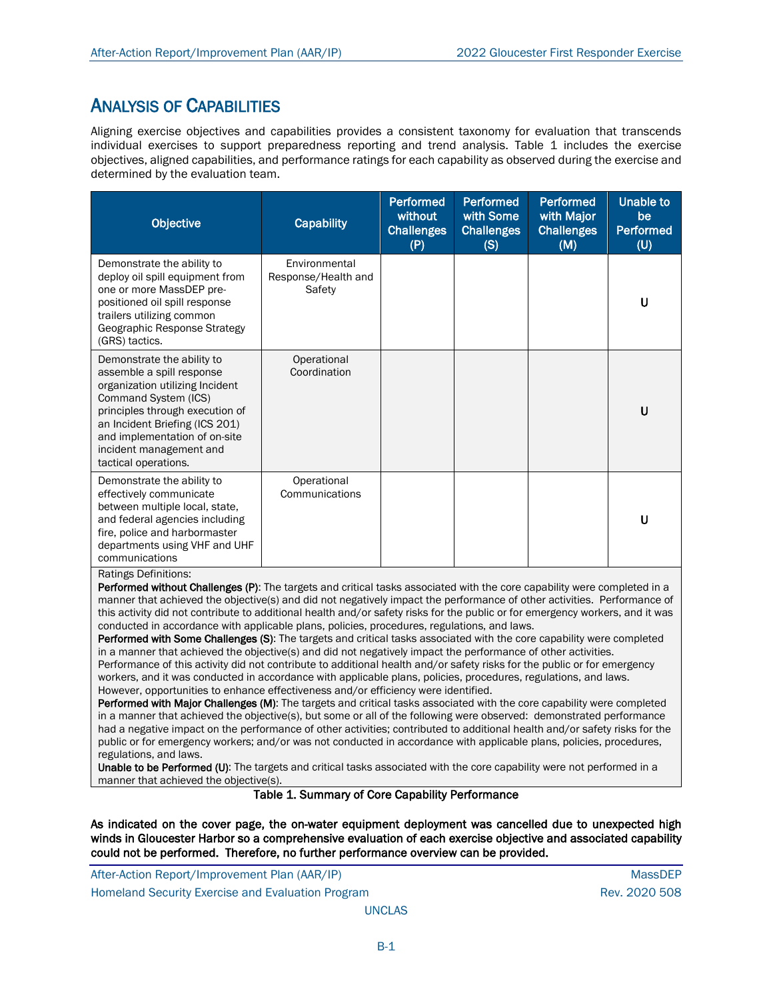#### ANALYSIS OF CAPABILITIES

Aligning exercise objectives and capabilities provides a consistent taxonomy for evaluation that transcends individual exercises to support preparedness reporting and trend analysis. Table 1 includes the exercise objectives, aligned capabilities, and performance ratings for each capability as observed during the exercise and determined by the evaluation team.

| <b>Objective</b>                                                                                                                                                                                                                                                                                                                                                                                                            | <b>Capability</b>                              | Performed<br>without<br><b>Challenges</b><br>(P) | <b>Performed</b><br>with Some<br><b>Challenges</b><br>(S) | <b>Performed</b><br>with Major<br><b>Challenges</b><br>(M) | <b>Unable to</b><br>be<br><b>Performed</b><br>(U) |
|-----------------------------------------------------------------------------------------------------------------------------------------------------------------------------------------------------------------------------------------------------------------------------------------------------------------------------------------------------------------------------------------------------------------------------|------------------------------------------------|--------------------------------------------------|-----------------------------------------------------------|------------------------------------------------------------|---------------------------------------------------|
| Demonstrate the ability to<br>deploy oil spill equipment from<br>one or more MassDEP pre-<br>positioned oil spill response<br>trailers utilizing common<br>Geographic Response Strategy<br>(GRS) tactics.                                                                                                                                                                                                                   | Environmental<br>Response/Health and<br>Safety |                                                  |                                                           |                                                            | U                                                 |
| Demonstrate the ability to<br>assemble a spill response<br>organization utilizing Incident<br>Command System (ICS)<br>principles through execution of<br>an Incident Briefing (ICS 201)<br>and implementation of on-site<br>incident management and<br>tactical operations.                                                                                                                                                 | Operational<br>Coordination                    |                                                  |                                                           |                                                            | U                                                 |
| Demonstrate the ability to<br>effectively communicate<br>between multiple local, state,<br>and federal agencies including<br>fire, police and harbormaster<br>departments using VHF and UHF<br>communications                                                                                                                                                                                                               | Operational<br>Communications                  |                                                  |                                                           |                                                            | U                                                 |
| <b>Ratings Definitions:</b><br><b>Performed without Challenges (P)</b> : The targets and critical tasks associated with the core capability were completed in a<br>manner that achieved the objective(s) and did not negatively impact the performance of other activities. Performance of<br>this ostivity did not contribute to additional boolth and/ar safety right for the public or for emergency werkers, and it was |                                                |                                                  |                                                           |                                                            |                                                   |

this activity did not contribute to additional health and/or safety risks for the public or for emergency workers, and it was conducted in accordance with applicable plans, policies, procedures, regulations, and laws.

Performed with Some Challenges (S): The targets and critical tasks associated with the core capability were completed in a manner that achieved the objective(s) and did not negatively impact the performance of other activities. Performance of this activity did not contribute to additional health and/or safety risks for the public or for emergency workers, and it was conducted in accordance with applicable plans, policies, procedures, regulations, and laws. However, opportunities to enhance effectiveness and/or efficiency were identified.

Performed with Major Challenges (M): The targets and critical tasks associated with the core capability were completed in a manner that achieved the objective(s), but some or all of the following were observed: demonstrated performance had a negative impact on the performance of other activities; contributed to additional health and/or safety risks for the public or for emergency workers; and/or was not conducted in accordance with applicable plans, policies, procedures, regulations, and laws.

Unable to be Performed (U): The targets and critical tasks associated with the core capability were not performed in a manner that achieved the objective(s).

Table 1. Summary of Core Capability Performance

As indicated on the cover page, the on-water equipment deployment was cancelled due to unexpected high winds in Gloucester Harbor so a comprehensive evaluation of each exercise objective and associated capability could not be performed. Therefore, no further performance overview can be provided.

After-Action Report/Improvement Plan (AAR/IP) MassDEP and the control of the control of the control of the control of the control of the control of the control of the control of the control of the control of the control of Homeland Security Exercise and Evaluation Program News 2020 508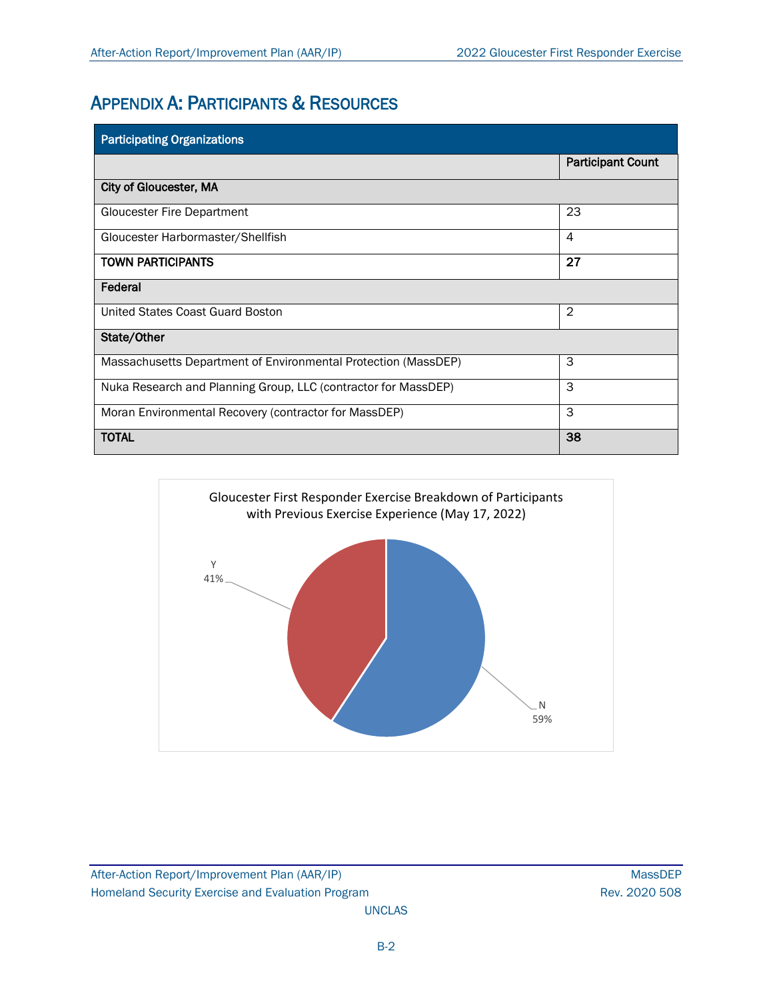### APPENDIX A: PARTICIPANTS & RESOURCES

| <b>Participating Organizations</b>                             |                          |
|----------------------------------------------------------------|--------------------------|
|                                                                | <b>Participant Count</b> |
| <b>City of Gloucester, MA</b>                                  |                          |
| <b>Gloucester Fire Department</b>                              | 23                       |
| Gloucester Harbormaster/Shellfish                              | 4                        |
| <b>TOWN PARTICIPANTS</b>                                       | 27                       |
| Federal                                                        |                          |
| United States Coast Guard Boston                               | $\overline{2}$           |
| State/Other                                                    |                          |
| Massachusetts Department of Environmental Protection (MassDEP) | 3                        |
| Nuka Research and Planning Group, LLC (contractor for MassDEP) | 3                        |
| Moran Environmental Recovery (contractor for MassDEP)          | 3                        |
| <b>TOTAL</b>                                                   | 38                       |

![](_page_5_Figure_4.jpeg)

After-Action Report/Improvement Plan (AAR/IP) MassDEP Homeland Security Exercise and Evaluation Program **Rev. 2020 508** Rev. 2020 508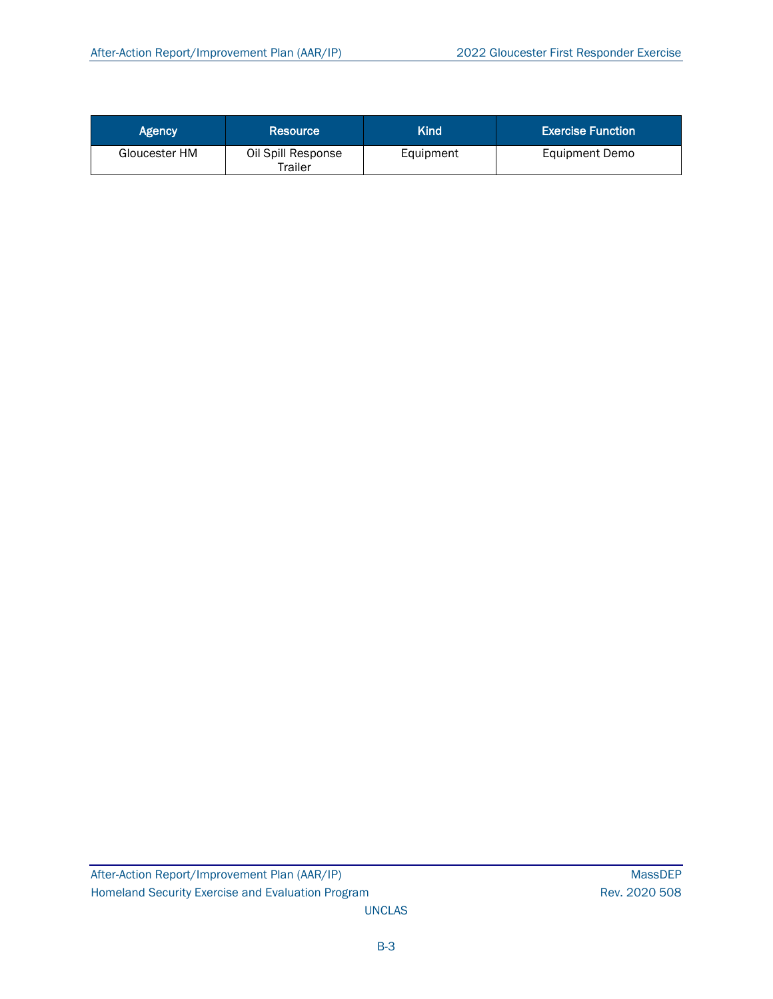| Agency        | Resource                      | Kind      | <b>Exercise Function</b> |
|---------------|-------------------------------|-----------|--------------------------|
| Gloucester HM | Oil Spill Response<br>Trailer | Equipment | <b>Equipment Demo</b>    |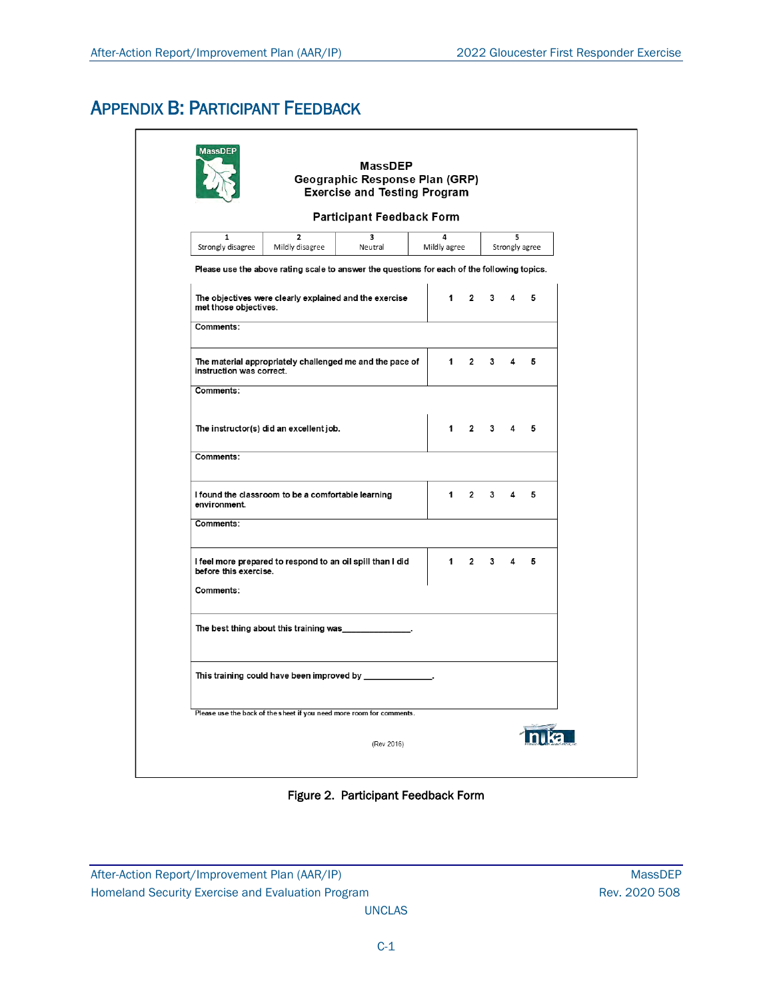### APPENDIX B: PARTICIPANT FEEDBACK

|                                                                                             | <b>Exercise and Testing Program</b>                                            |              |                |             |   |   |  |
|---------------------------------------------------------------------------------------------|--------------------------------------------------------------------------------|--------------|----------------|-------------|---|---|--|
|                                                                                             | <b>Participant Feedback Form</b>                                               |              |                |             |   |   |  |
| $\overline{2}$<br>1<br>Strongly disagree<br>Mildly disagree                                 | $\overline{\mathbf{3}}$<br>4<br>5<br>Neutral<br>Mildly agree<br>Strongly agree |              |                |             |   |   |  |
| Please use the above rating scale to answer the questions for each of the following topics. |                                                                                |              |                |             |   |   |  |
| The objectives were clearly explained and the exercise<br>met those objectives.             |                                                                                | $\mathbf 1$  | $\mathbf{2}$   | 3           | 4 | 5 |  |
| Comments:                                                                                   |                                                                                |              |                |             |   |   |  |
| The material appropriately challenged me and the pace of<br>instruction was correct.        |                                                                                | $\mathbf 1$  | $\overline{2}$ | 3           | 4 | 5 |  |
| Comments:                                                                                   |                                                                                |              |                |             |   |   |  |
| The instructor(s) did an excellent job.                                                     |                                                                                | $\mathbf{1}$ |                | $2 \quad 3$ | 4 | 5 |  |
| Comments:                                                                                   |                                                                                |              |                |             |   |   |  |
| I found the classroom to be a comfortable learning<br>environment.                          |                                                                                | 1            | $\overline{2}$ | 3           | 4 | 5 |  |
| Comments:                                                                                   |                                                                                |              |                |             |   |   |  |
| I feel more prepared to respond to an oil spill than I did<br>before this exercise.         |                                                                                | 1            | $\overline{2}$ | 3           | 4 | 5 |  |
| Comments:                                                                                   |                                                                                |              |                |             |   |   |  |
| The best thing about this training was_                                                     |                                                                                |              |                |             |   |   |  |
|                                                                                             |                                                                                |              |                |             |   |   |  |
| Please use the back of the sheet if you need more room for comments.                        |                                                                                |              |                |             |   |   |  |

Figure 2. Participant Feedback Form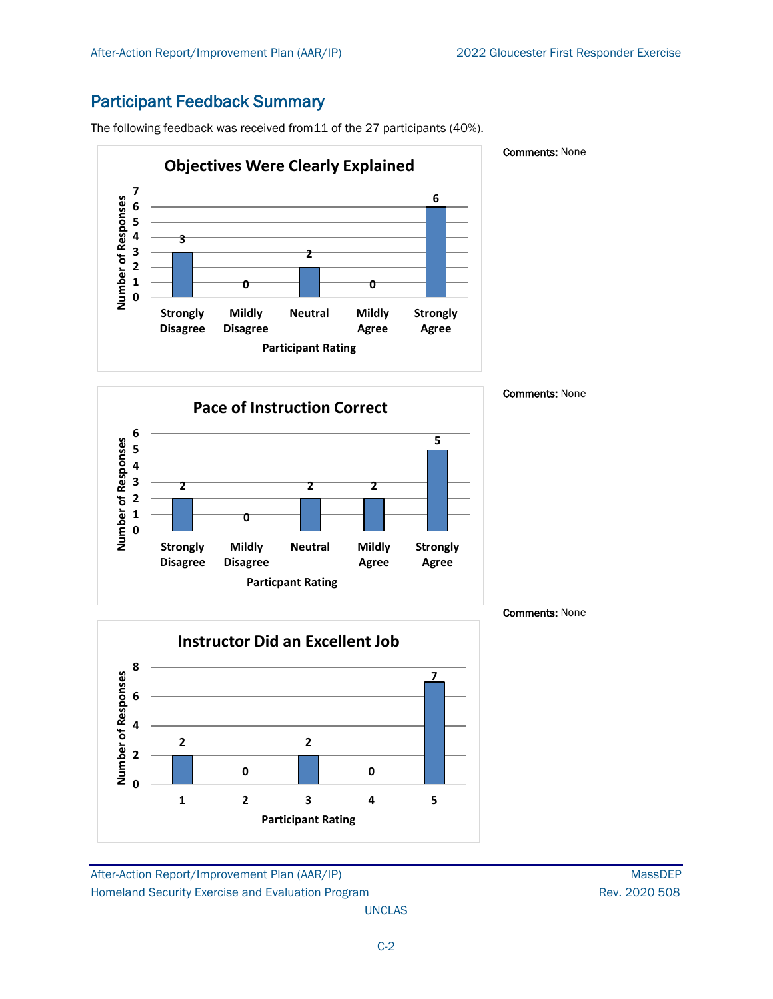#### Participant Feedback Summary

The following feedback was received from11 of the 27 participants (40%).

![](_page_8_Figure_4.jpeg)

#### Comments: None

![](_page_8_Figure_6.jpeg)

![](_page_8_Figure_7.jpeg)

After-Action Report/Improvement Plan (AAR/IP) MassDEP Homeland Security Exercise and Evaluation Program **Rev. 2020 508** Rev. 2020 508

UNCLAS

Comments: None

Comments: None